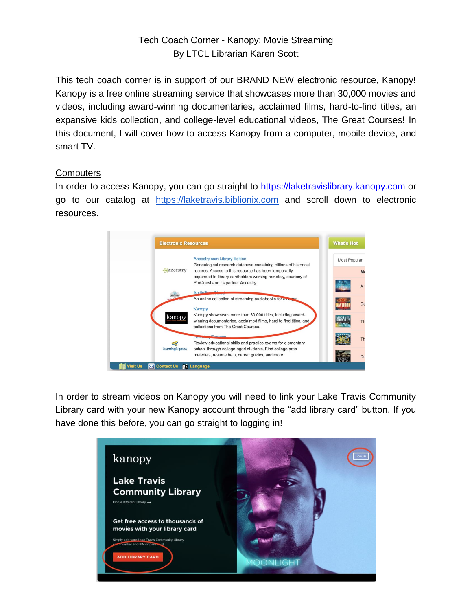# Tech Coach Corner - Kanopy: Movie Streaming By LTCL Librarian Karen Scott

This tech coach corner is in support of our BRAND NEW electronic resource, Kanopy! Kanopy is a free online streaming service that showcases more than 30,000 movies and videos, including award-winning documentaries, acclaimed films, hard-to-find titles, an expansive kids collection, and college-level educational videos, The Great Courses! In this document, I will cover how to access Kanopy from a computer, mobile device, and smart TV.

## **Computers**

In order to access Kanopy, you can go straight to [https://laketravislibrary.kanopy.com](https://laketravislibrary.kanopy.com/) or go to our catalog at https://laketravis.biblionix.com and scroll down to electronic resources.



In order to stream videos on Kanopy you will need to link your Lake Travis Community Library card with your new Kanopy account through the "add library card" button. If you have done this before, you can go straight to logging in!

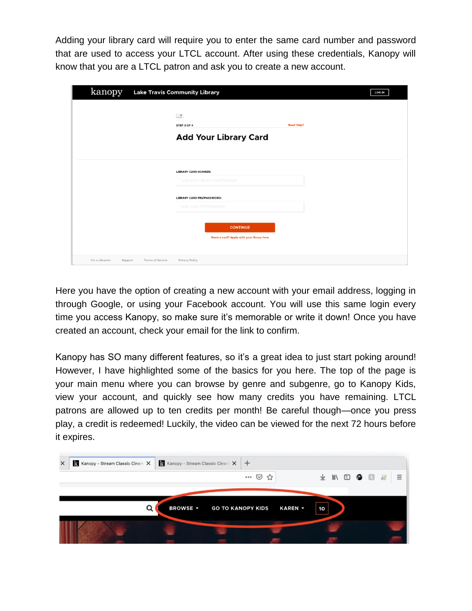Adding your library card will require you to enter the same card number and password that are used to access your LTCL account. After using these credentials, Kanopy will know that you are a LTCL patron and ask you to create a new account.

| kanopy                     |                         | <b>Lake Travis Community Library</b>      | <b>LOG IN</b>     |
|----------------------------|-------------------------|-------------------------------------------|-------------------|
|                            |                         |                                           |                   |
|                            |                         | $\frac{\cap \bullet}{\cap \dots}$         |                   |
|                            |                         | STEP 3 OF 4                               | <b>Need Help?</b> |
|                            |                         | <b>Add Your Library Card</b>              |                   |
|                            |                         |                                           |                   |
|                            |                         |                                           |                   |
|                            |                         | <b>LIBRARY CARD NUMBER:</b>               |                   |
|                            |                         | Type your Library Card Number             |                   |
|                            |                         | <b>LIBRARY CARD PIN/PASSWORD:</b>         |                   |
|                            |                         | Type your PIN/Password                    |                   |
|                            |                         |                                           |                   |
|                            |                         | <b>CONTINUE</b>                           |                   |
|                            |                         | Need a card? Apply with your library here |                   |
|                            |                         |                                           |                   |
| I'm a Librarian<br>Support | <b>Terms of Service</b> | Privacy Policy                            |                   |

Here you have the option of creating a new account with your email address, logging in through Google, or using your Facebook account. You will use this same login every time you access Kanopy, so make sure it's memorable or write it down! Once you have created an account, check your email for the link to confirm.

Kanopy has SO many different features, so it's a great idea to just start poking around! However, I have highlighted some of the basics for you here. The top of the page is your main menu where you can browse by genre and subgenre, go to Kanopy Kids, view your account, and quickly see how many credits you have remaining. LTCL patrons are allowed up to ten credits per month! Be careful though—once you press play, a credit is redeemed! Luckily, the video can be viewed for the next 72 hours before it expires.

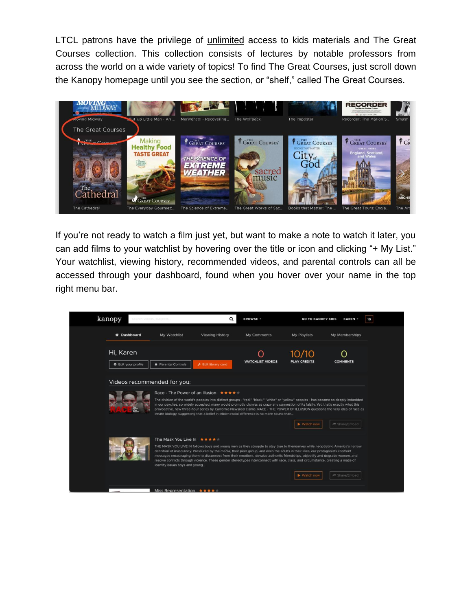LTCL patrons have the privilege of unlimited access to kids materials and The Great Courses collection. This collection consists of lectures by notable professors from across the world on a wide variety of topics! To find The Great Courses, just scroll down the Kanopy homepage until you see the section, or "shelf," called The Great Courses.



If you're not ready to watch a film just yet, but want to make a note to watch it later, you can add films to your watchlist by hovering over the title or icon and clicking "+ My List." Your watchlist, viewing history, recommended videos, and parental controls can all be accessed through your dashboard, found when you hover over your name in the top right menu bar.

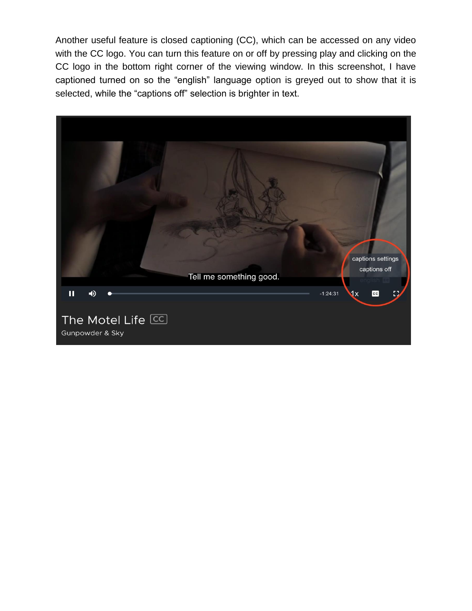Another useful feature is closed captioning (CC), which can be accessed on any video with the CC logo. You can turn this feature on or off by pressing play and clicking on the CC logo in the bottom right corner of the viewing window. In this screenshot, I have captioned turned on so the "english" language option is greyed out to show that it is selected, while the "captions off" selection is brighter in text.

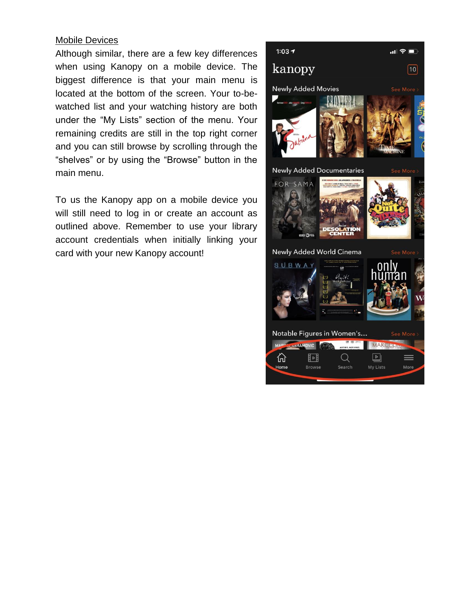#### Mobile Devices

Although similar, there are a few key differences when using Kanopy on a mobile device. The biggest difference is that your main menu is located at the bottom of the screen. Your to-bewatched list and your watching history are both under the "My Lists" section of the menu. Your remaining credits are still in the top right corner and you can still browse by scrolling through the "shelves" or by using the "Browse" button in the main menu.

To us the Kanopy app on a mobile device you will still need to log in or create an account as outlined above. Remember to use your library account credentials when initially linking your card with your new Kanopy account!